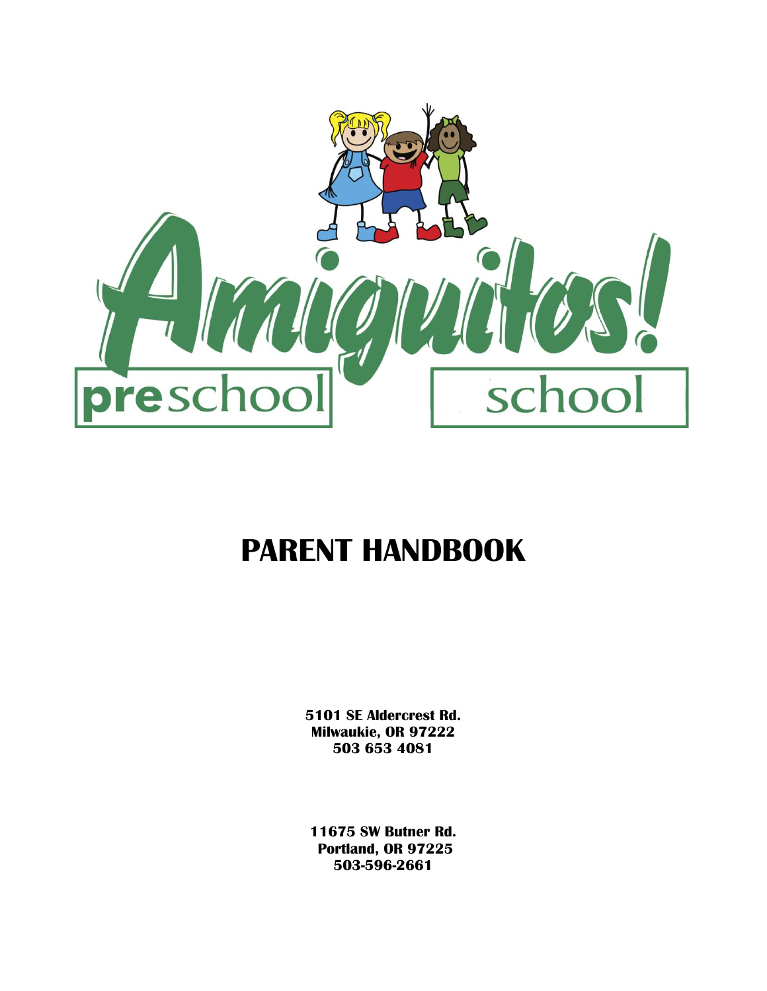

# **PARENT HANDBOOK**

**5101 SE Aldercrest Rd. Milwaukie, OR 97222 503 653 4081**

**11675 SW Butner Rd. Portland, OR 97225 503-596-2661**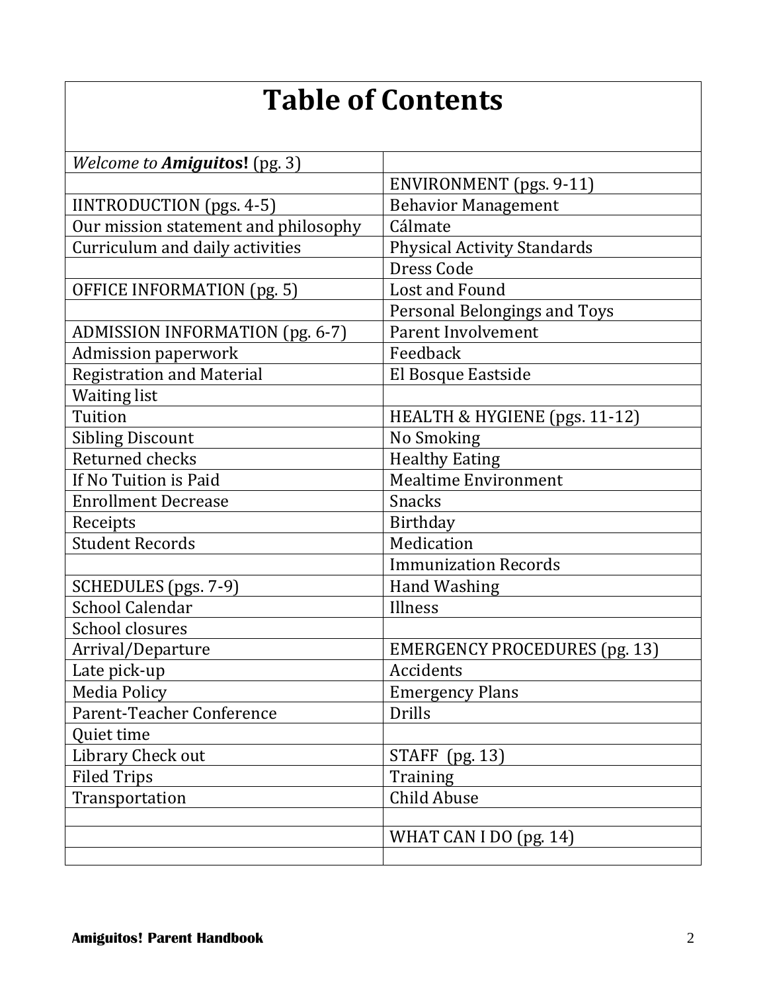# **Table of Contents**

| Welcome to Amiguitos! (pg. 3)          |                                      |
|----------------------------------------|--------------------------------------|
|                                        | ENVIRONMENT (pgs. 9-11)              |
| IINTRODUCTION (pgs. 4-5)               | <b>Behavior Management</b>           |
| Our mission statement and philosophy   | Cálmate                              |
| Curriculum and daily activities        | <b>Physical Activity Standards</b>   |
|                                        | Dress Code                           |
| OFFICE INFORMATION (pg. 5)             | Lost and Found                       |
|                                        | Personal Belongings and Toys         |
| <b>ADMISSION INFORMATION (pg. 6-7)</b> | Parent Involvement                   |
| <b>Admission paperwork</b>             | Feedback                             |
| <b>Registration and Material</b>       | El Bosque Eastside                   |
| <b>Waiting list</b>                    |                                      |
| Tuition                                | HEALTH & HYGIENE (pgs. 11-12)        |
| <b>Sibling Discount</b>                | No Smoking                           |
| Returned checks                        | <b>Healthy Eating</b>                |
| If No Tuition is Paid                  | <b>Mealtime Environment</b>          |
| <b>Enrollment Decrease</b>             | <b>Snacks</b>                        |
| Receipts                               | Birthday                             |
| <b>Student Records</b>                 | Medication                           |
|                                        | <b>Immunization Records</b>          |
| SCHEDULES (pgs. 7-9)                   | <b>Hand Washing</b>                  |
| <b>School Calendar</b>                 | Illness                              |
| School closures                        |                                      |
| Arrival/Departure                      | <b>EMERGENCY PROCEDURES (pg. 13)</b> |
| Late pick-up                           | Accidents                            |
| Media Policy                           | <b>Emergency Plans</b>               |
| Parent-Teacher Conference              | <b>Drills</b>                        |
| Quiet time                             |                                      |
| Library Check out                      | <b>STAFF</b><br>(pg. 13)             |
| <b>Filed Trips</b>                     | Training                             |
| Transportation                         | Child Abuse                          |
|                                        |                                      |
|                                        | WHAT CAN I DO (pg. 14)               |
|                                        |                                      |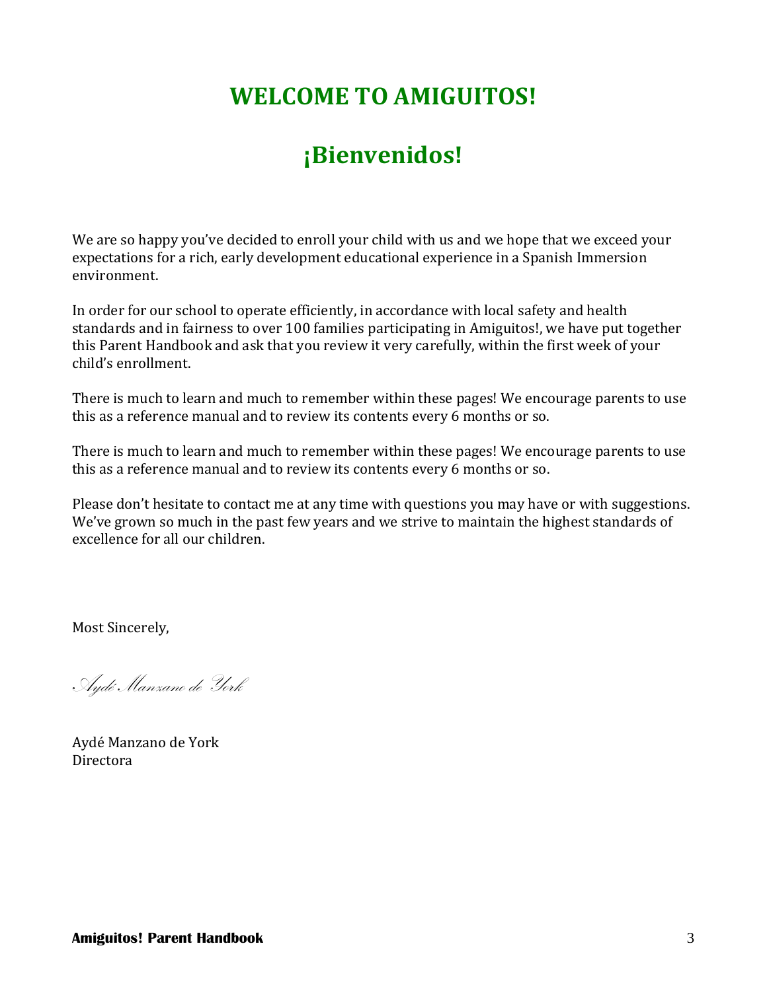# **WELCOME TO AMIGUITOS!**

# **¡Bienvenidos!**

We are so happy you've decided to enroll your child with us and we hope that we exceed your expectations for a rich, early development educational experience in a Spanish Immersion environment.

In order for our school to operate efficiently, in accordance with local safety and health standards and in fairness to over 100 families participating in Amiguitos!, we have put together this Parent Handbook and ask that you review it very carefully, within the first week of your child's enrollment.

There is much to learn and much to remember within these pages! We encourage parents to use this as a reference manual and to review its contents every 6 months or so.

There is much to learn and much to remember within these pages! We encourage parents to use this as a reference manual and to review its contents every 6 months or so.

Please don't hesitate to contact me at any time with questions you may have or with suggestions. We've grown so much in the past few years and we strive to maintain the highest standards of excellence for all our children.

Most Sincerely,

Aydé Manzano de York

Aydé Manzano de York Directora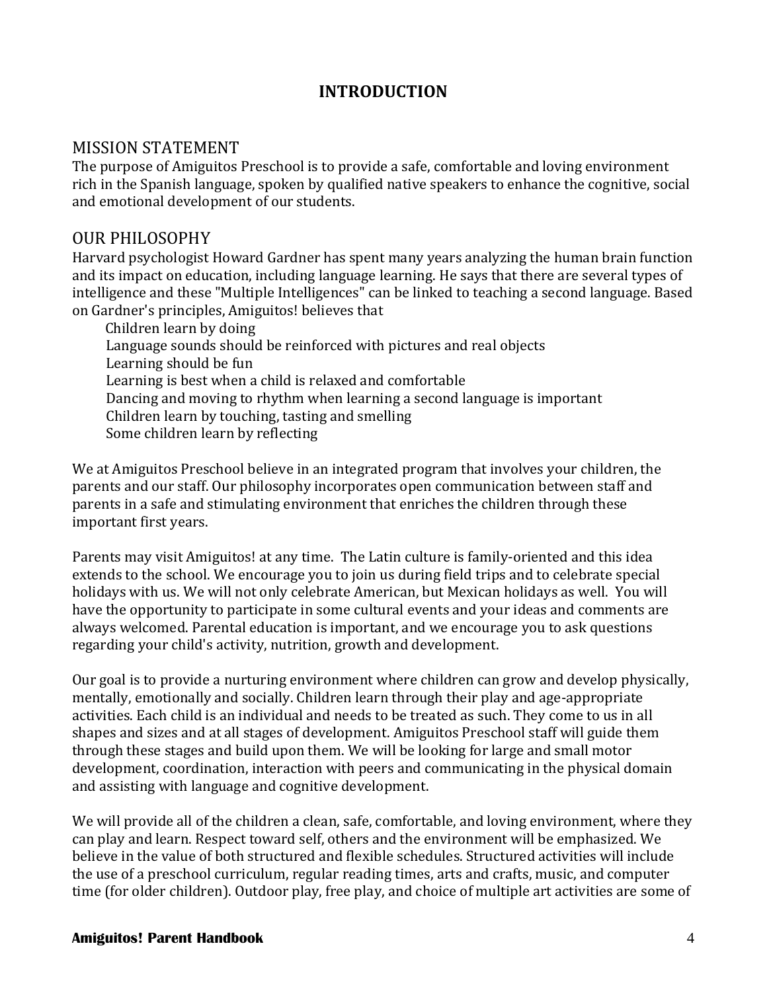# **INTRODUCTION**

#### MISSION STATEMENT

The purpose of Amiguitos Preschool is to provide a safe, comfortable and loving environment rich in the Spanish language, spoken by qualified native speakers to enhance the cognitive, social and emotional development of our students.

#### OUR PHILOSOPHY

Harvard psychologist Howard Gardner has spent many years analyzing the human brain function and its impact on education, including language learning. He says that there are several types of intelligence and these "Multiple Intelligences" can be linked to teaching a second language. Based on Gardner's principles, Amiguitos! believes that

 Children learn by doing Language sounds should be reinforced with pictures and real objects Learning should be fun Learning is best when a child is relaxed and comfortable Dancing and moving to rhythm when learning a second language is important Children learn by touching, tasting and smelling Some children learn by reflecting

We at Amiguitos Preschool believe in an integrated program that involves your children, the parents and our staff. Our philosophy incorporates open communication between staff and parents in a safe and stimulating environment that enriches the children through these important first years.

Parents may visit Amiguitos! at any time. The Latin culture is family-oriented and this idea extends to the school. We encourage you to join us during field trips and to celebrate special holidays with us. We will not only celebrate American, but Mexican holidays as well. You will have the opportunity to participate in some cultural events and your ideas and comments are always welcomed. Parental education is important, and we encourage you to ask questions regarding your child's activity, nutrition, growth and development.

Our goal is to provide a nurturing environment where children can grow and develop physically, mentally, emotionally and socially. Children learn through their play and age-appropriate activities. Each child is an individual and needs to be treated as such. They come to us in all shapes and sizes and at all stages of development. Amiguitos Preschool staff will guide them through these stages and build upon them. We will be looking for large and small motor development, coordination, interaction with peers and communicating in the physical domain and assisting with language and cognitive development.

We will provide all of the children a clean, safe, comfortable, and loving environment, where they can play and learn. Respect toward self, others and the environment will be emphasized. We believe in the value of both structured and flexible schedules. Structured activities will include the use of a preschool curriculum, regular reading times, arts and crafts, music, and computer time (for older children). Outdoor play, free play, and choice of multiple art activities are some of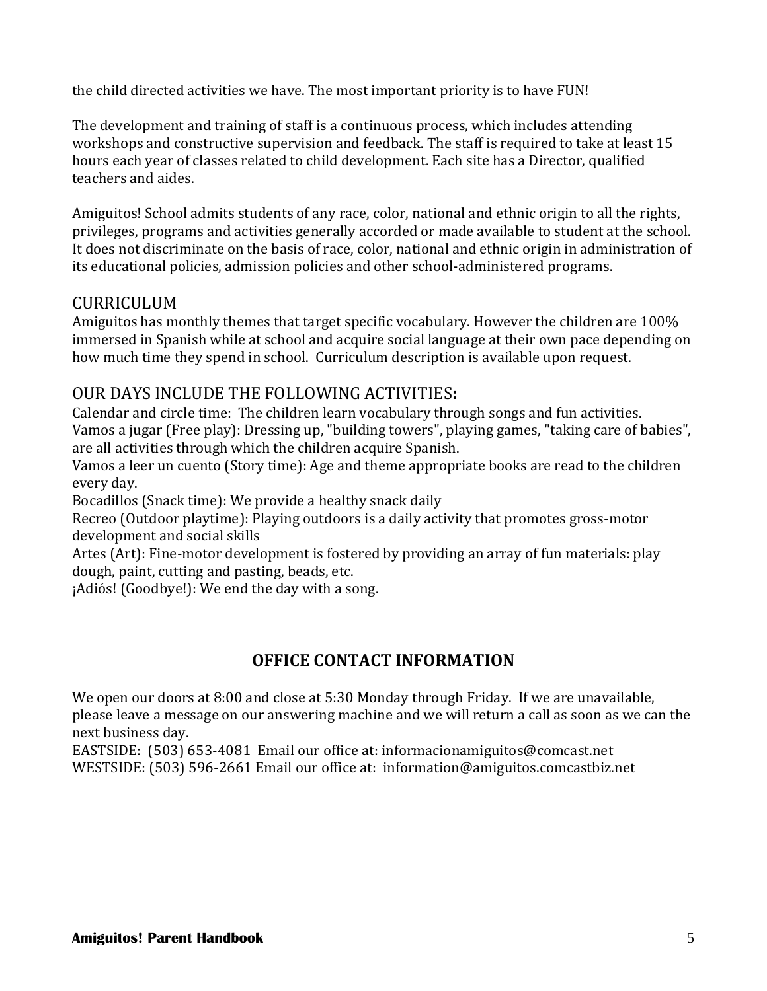the child directed activities we have. The most important priority is to have FUN!

The development and training of staff is a continuous process, which includes attending workshops and constructive supervision and feedback. The staff is required to take at least 15 hours each year of classes related to child development. Each site has a Director, qualified teachers and aides.

Amiguitos! School admits students of any race, color, national and ethnic origin to all the rights, privileges, programs and activities generally accorded or made available to student at the school. It does not discriminate on the basis of race, color, national and ethnic origin in administration of its educational policies, admission policies and other school-administered programs.

# CURRICULUM

Amiguitos has monthly themes that target specific vocabulary. However the children are 100% immersed in Spanish while at school and acquire social language at their own pace depending on how much time they spend in school. Curriculum description is available upon request.

# OUR DAYS INCLUDE THE FOLLOWING ACTIVITIES**:**

Calendar and circle time: The children learn vocabulary through songs and fun activities. Vamos a jugar (Free play): Dressing up, "building towers", playing games, "taking care of babies", are all activities through which the children acquire Spanish.

Vamos a leer un cuento (Story time): Age and theme appropriate books are read to the children every day.

Bocadillos (Snack time): We provide a healthy snack daily

Recreo (Outdoor playtime): Playing outdoors is a daily activity that promotes gross-motor development and social skills

Artes (Art): Fine-motor development is fostered by providing an array of fun materials: play dough, paint, cutting and pasting, beads, etc.

¡Adiós! (Goodbye!): We end the day with a song.

# **OFFICE CONTACT INFORMATION**

We open our doors at 8:00 and close at 5:30 Monday through Friday. If we are unavailable, please leave a message on our answering machine and we will return a call as soon as we can the next business day.

EASTSIDE: (503) 653-4081 Email our office at: informacionamiguitos@comcast.net WESTSIDE: (503) 596-2661 Email our office at: information@amiguitos.comcastbiz.net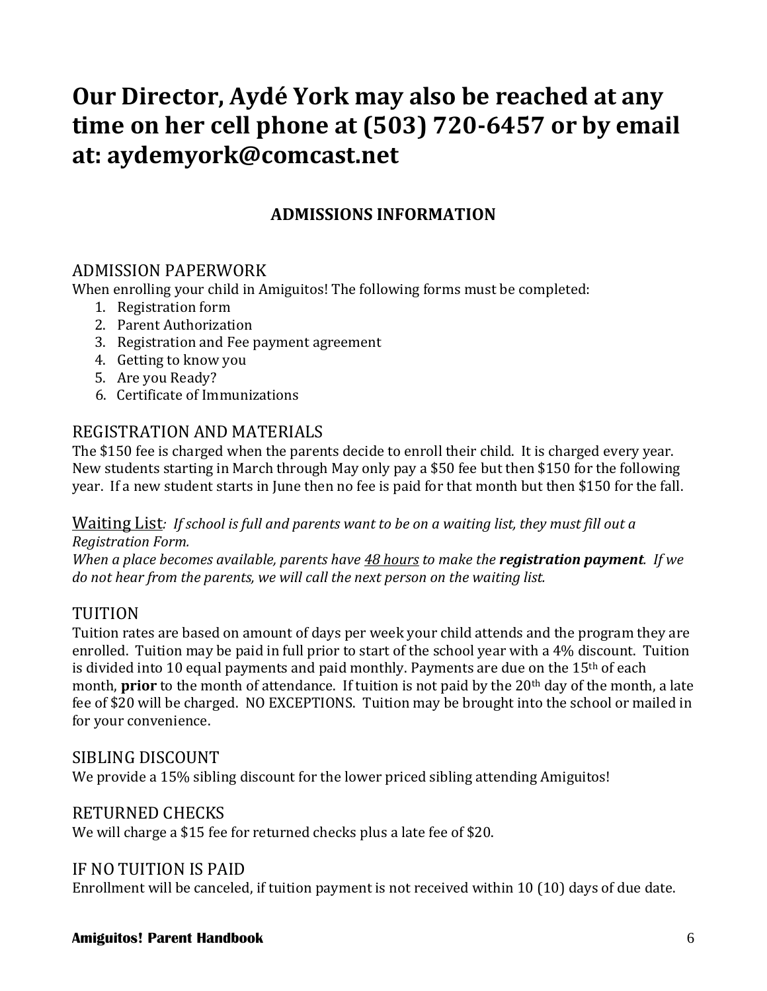# **Our Director, Aydé York may also be reached at any time on her cell phone at (503) 720-6457 or by email at: aydemyork@comcast.net**

# **ADMISSIONS INFORMATION**

# ADMISSION PAPERWORK

When enrolling your child in Amiguitos! The following forms must be completed:

- 1. Registration form
- 2. Parent Authorization
- 3. Registration and Fee payment agreement
- 4. Getting to know you
- 5. Are you Ready?
- 6. Certificate of Immunizations

# REGISTRATION AND MATERIALS

The \$150 fee is charged when the parents decide to enroll their child. It is charged every year. New students starting in March through May only pay a \$50 fee but then \$150 for the following year. If a new student starts in June then no fee is paid for that month but then \$150 for the fall.

Waiting List*: If school is full and parents want to be on a waiting list, they must fill out a Registration Form.*

*When a place becomes available, parents have 48 hours to make the registration payment. If we do not hear from the parents, we will call the next person on the waiting list.*

# TUITION

Tuition rates are based on amount of days per week your child attends and the program they are enrolled. Tuition may be paid in full prior to start of the school year with a 4% discount. Tuition is divided into 10 equal payments and paid monthly. Payments are due on the  $15<sup>th</sup>$  of each month, **prior** to the month of attendance. If tuition is not paid by the 20<sup>th</sup> day of the month, a late fee of \$20 will be charged. NO EXCEPTIONS. Tuition may be brought into the school or mailed in for your convenience.

#### SIBLING DISCOUNT

We provide a 15% sibling discount for the lower priced sibling attending Amiguitos!

#### RETURNED CHECKS

We will charge a \$15 fee for returned checks plus a late fee of \$20.

#### IF NO TUITION IS PAID

Enrollment will be canceled, if tuition payment is not received within 10 (10) days of due date.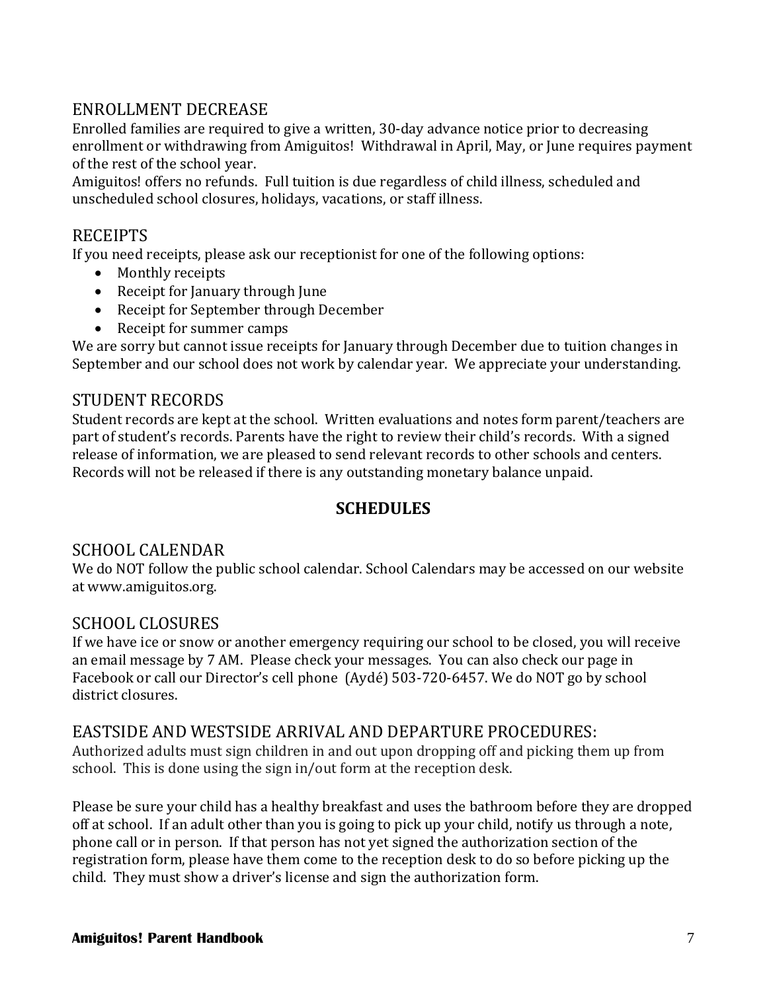# ENROLLMENT DECREASE

Enrolled families are required to give a written, 30-day advance notice prior to decreasing enrollment or withdrawing from Amiguitos! Withdrawal in April, May, or June requires payment of the rest of the school year.

Amiguitos! offers no refunds. Full tuition is due regardless of child illness, scheduled and unscheduled school closures, holidays, vacations, or staff illness.

# RECEIPTS

If you need receipts, please ask our receptionist for one of the following options:

- Monthly receipts
- Receipt for January through June
- Receipt for September through December
- Receipt for summer camps

We are sorry but cannot issue receipts for January through December due to tuition changes in September and our school does not work by calendar year. We appreciate your understanding.

#### STUDENT RECORDS

Student records are kept at the school. Written evaluations and notes form parent/teachers are part of student's records. Parents have the right to review their child's records. With a signed release of information, we are pleased to send relevant records to other schools and centers. Records will not be released if there is any outstanding monetary balance unpaid.

# **SCHEDULES**

# SCHOOL CALENDAR

We do NOT follow the public school calendar. School Calendars may be accessed on our website at www.amiguitos.org.

#### SCHOOL CLOSURES

If we have ice or snow or another emergency requiring our school to be closed, you will receive an email message by 7 AM. Please check your messages. You can also check our page in Facebook or call our Director's cell phone (Aydé) 503-720-6457. We do NOT go by school district closures.

#### EASTSIDE AND WESTSIDE ARRIVAL AND DEPARTURE PROCEDURES:

Authorized adults must sign children in and out upon dropping off and picking them up from school. This is done using the sign in/out form at the reception desk.

Please be sure your child has a healthy breakfast and uses the bathroom before they are dropped off at school. If an adult other than you is going to pick up your child, notify us through a note, phone call or in person. If that person has not yet signed the authorization section of the registration form, please have them come to the reception desk to do so before picking up the child. They must show a driver's license and sign the authorization form.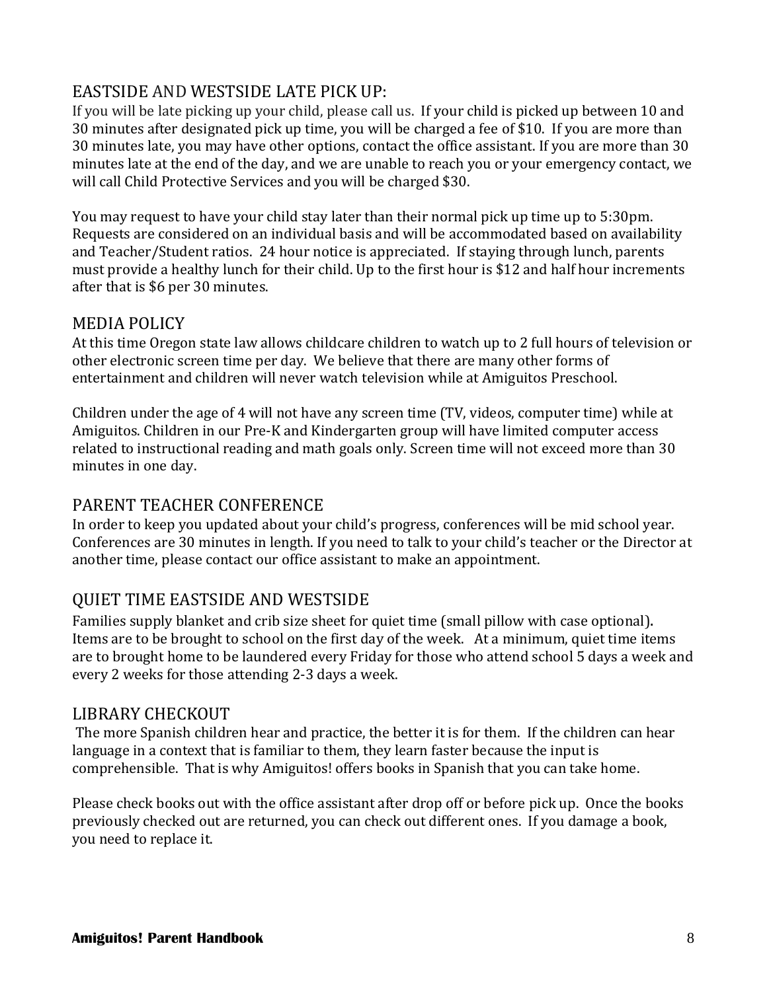# EASTSIDE AND WESTSIDE LATE PICK UP:

If you will be late picking up your child, please call us. If your child is picked up between 10 and 30 minutes after designated pick up time, you will be charged a fee of \$10. If you are more than 30 minutes late, you may have other options, contact the office assistant. If you are more than 30 minutes late at the end of the day, and we are unable to reach you or your emergency contact, we will call Child Protective Services and you will be charged \$30.

You may request to have your child stay later than their normal pick up time up to 5:30pm. Requests are considered on an individual basis and will be accommodated based on availability and Teacher/Student ratios. 24 hour notice is appreciated. If staying through lunch, parents must provide a healthy lunch for their child. Up to the first hour is \$12 and half hour increments after that is \$6 per 30 minutes.

# MEDIA POLICY

At this time Oregon state law allows childcare children to watch up to 2 full hours of television or other electronic screen time per day. We believe that there are many other forms of entertainment and children will never watch television while at Amiguitos Preschool.

Children under the age of 4 will not have any screen time (TV, videos, computer time) while at Amiguitos. Children in our Pre-K and Kindergarten group will have limited computer access related to instructional reading and math goals only. Screen time will not exceed more than 30 minutes in one day.

# PARENT TEACHER CONFERENCE

In order to keep you updated about your child's progress, conferences will be mid school year. Conferences are 30 minutes in length. If you need to talk to your child's teacher or the Director at another time, please contact our office assistant to make an appointment.

# QUIET TIME EASTSIDE AND WESTSIDE

Families supply blanket and crib size sheet for quiet time (small pillow with case optional). Items are to be brought to school on the first day of the week. At a minimum, quiet time items are to brought home to be laundered every Friday for those who attend school 5 days a week and every 2 weeks for those attending 2-3 days a week.

#### LIBRARY CHECKOUT

The more Spanish children hear and practice, the better it is for them. If the children can hear language in a context that is familiar to them, they learn faster because the input is comprehensible. That is why Amiguitos! offers books in Spanish that you can take home.

Please check books out with the office assistant after drop off or before pick up. Once the books previously checked out are returned, you can check out different ones. If you damage a book, you need to replace it.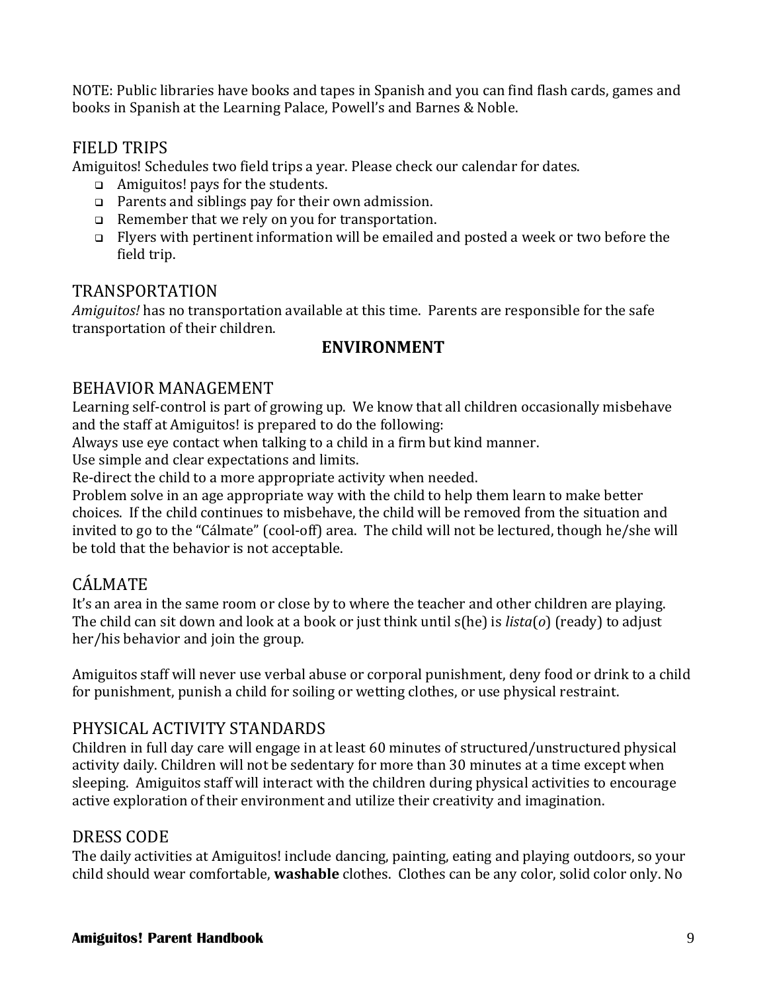NOTE: Public libraries have books and tapes in Spanish and you can find flash cards, games and books in Spanish at the Learning Palace, Powell's and Barnes & Noble.

# FIELD TRIPS

Amiguitos! Schedules two field trips a year. Please check our calendar for dates.

- $\Box$  Amiguitos! pays for the students.
- Parents and siblings pay for their own admission.
- Remember that we rely on you for transportation.
- Flyers with pertinent information will be emailed and posted a week or two before the field trip.

#### TRANSPORTATION

*Amiguitos!* has no transportation available at this time. Parents are responsible for the safe transportation of their children.

# **ENVIRONMENT**

# BEHAVIOR MANAGEMENT

Learning self-control is part of growing up. We know that all children occasionally misbehave and the staff at Amiguitos! is prepared to do the following:

Always use eye contact when talking to a child in a firm but kind manner.

Use simple and clear expectations and limits.

Re-direct the child to a more appropriate activity when needed.

Problem solve in an age appropriate way with the child to help them learn to make better choices. If the child continues to misbehave, the child will be removed from the situation and invited to go to the "Cálmate" (cool-off) area. The child will not be lectured, though he/she will be told that the behavior is not acceptable.

# CÁLMATE

It's an area in the same room or close by to where the teacher and other children are playing. The child can sit down and look at a book or just think until s(he) is *lista*(*o*) (ready) to adjust her/his behavior and join the group.

Amiguitos staff will never use verbal abuse or corporal punishment, deny food or drink to a child for punishment, punish a child for soiling or wetting clothes, or use physical restraint.

# PHYSICAL ACTIVITY STANDARDS

Children in full day care will engage in at least 60 minutes of structured/unstructured physical activity daily. Children will not be sedentary for more than 30 minutes at a time except when sleeping. Amiguitos staff will interact with the children during physical activities to encourage active exploration of their environment and utilize their creativity and imagination.

# DRESS CODE

The daily activities at Amiguitos! include dancing, painting, eating and playing outdoors, so your child should wear comfortable, **washable** clothes. Clothes can be any color, solid color only. No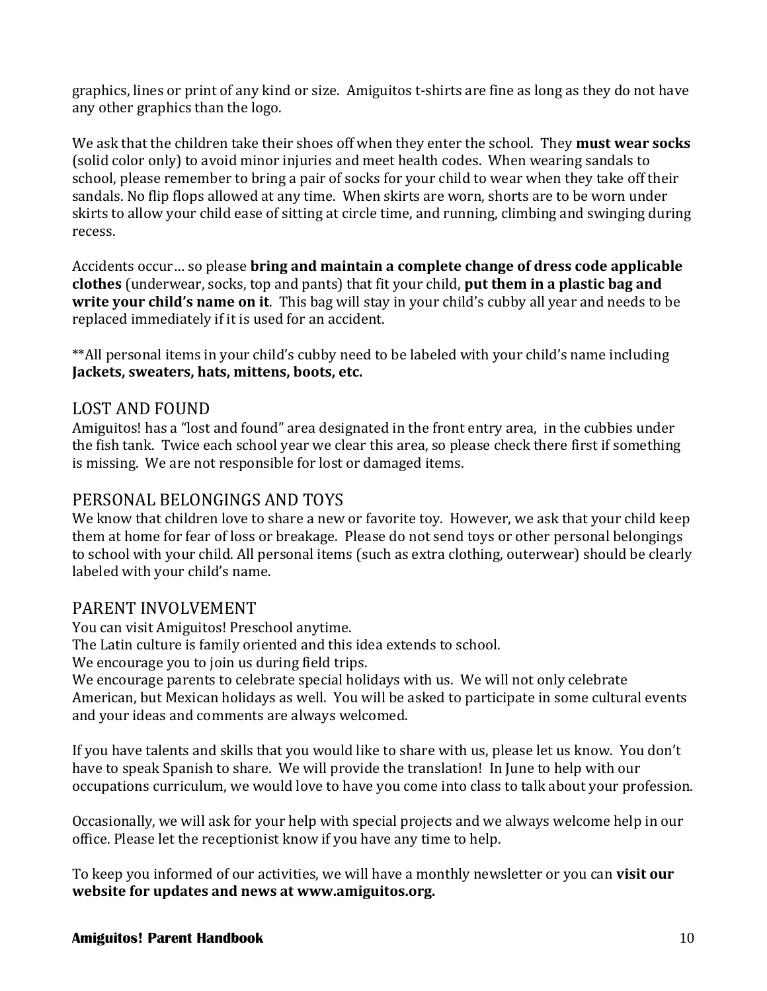graphics, lines or print of any kind or size. Amiguitos t-shirts are fine as long as they do not have any other graphics than the logo.

We ask that the children take their shoes off when they enter the school. They **must wear socks** (solid color only) to avoid minor injuries and meet health codes. When wearing sandals to school, please remember to bring a pair of socks for your child to wear when they take off their sandals. No flip flops allowed at any time. When skirts are worn, shorts are to be worn under skirts to allow your child ease of sitting at circle time, and running, climbing and swinging during recess.

Accidents occur… so please **bring and maintain a complete change of dress code applicable clothes** (underwear, socks, top and pants) that fit your child, **put them in a plastic bag and write your child's name on it**. This bag will stay in your child's cubby all year and needs to be replaced immediately if it is used for an accident.

\*\*All personal items in your child's cubby need to be labeled with your child's name including **Jackets, sweaters, hats, mittens, boots, etc.** 

# LOST AND FOUND

Amiguitos! has a "lost and found" area designated in the front entry area, in the cubbies under the fish tank. Twice each school year we clear this area, so please check there first if something is missing. We are not responsible for lost or damaged items.

# PERSONAL BELONGINGS AND TOYS

We know that children love to share a new or favorite toy. However, we ask that your child keep them at home for fear of loss or breakage. Please do not send toys or other personal belongings to school with your child. All personal items (such as extra clothing, outerwear) should be clearly labeled with your child's name.

#### PARENT INVOLVEMENT

You can visit Amiguitos! Preschool anytime.

The Latin culture is family oriented and this idea extends to school.

We encourage you to join us during field trips.

We encourage parents to celebrate special holidays with us. We will not only celebrate American, but Mexican holidays as well. You will be asked to participate in some cultural events and your ideas and comments are always welcomed.

If you have talents and skills that you would like to share with us, please let us know. You don't have to speak Spanish to share. We will provide the translation! In June to help with our occupations curriculum, we would love to have you come into class to talk about your profession.

Occasionally, we will ask for your help with special projects and we always welcome help in our office. Please let the receptionist know if you have any time to help.

To keep you informed of our activities, we will have a monthly newsletter or you can **visit our website for updates and news at www.amiguitos.org.**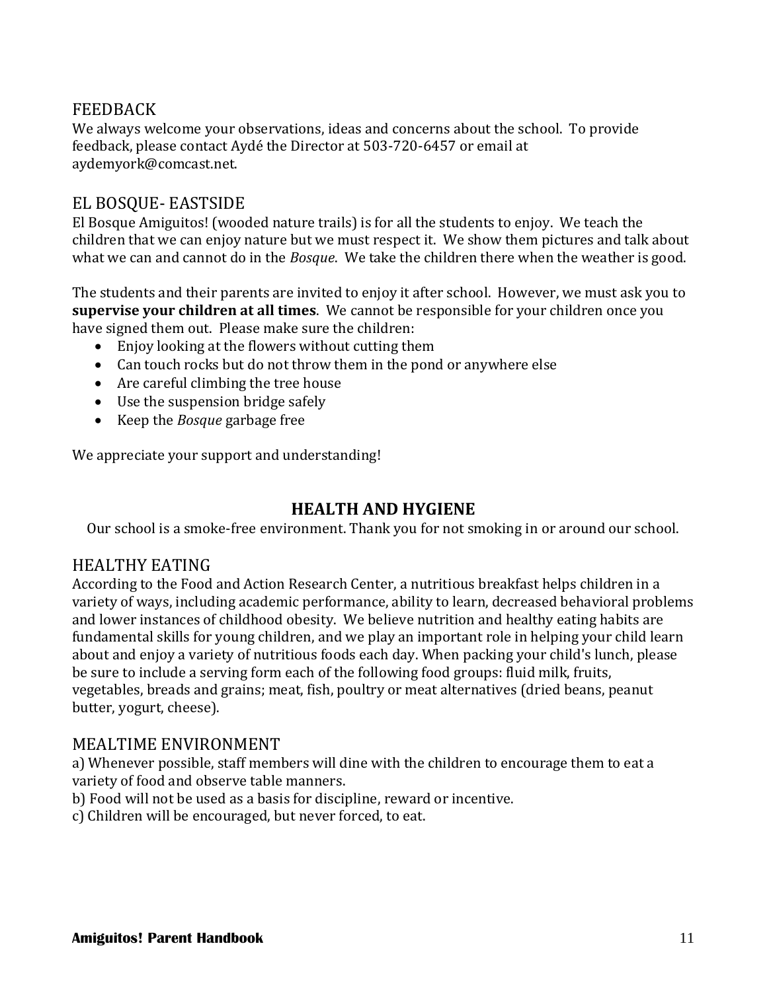# FEEDBACK

We always welcome your observations, ideas and concerns about the school. To provide feedback, please contact Aydé the Director at 503-720-6457 or email at aydemyork@comcast.net.

# EL BOSQUE- EASTSIDE

El Bosque Amiguitos! (wooded nature trails) is for all the students to enjoy. We teach the children that we can enjoy nature but we must respect it. We show them pictures and talk about what we can and cannot do in the *Bosque*. We take the children there when the weather is good.

The students and their parents are invited to enjoy it after school. However, we must ask you to **supervise your children at all times**. We cannot be responsible for your children once you have signed them out. Please make sure the children:

- Enjoy looking at the flowers without cutting them
- Can touch rocks but do not throw them in the pond or anywhere else
- Are careful climbing the tree house
- Use the suspension bridge safely
- Keep the *Bosque* garbage free

We appreciate your support and understanding!

#### **HEALTH AND HYGIENE**

Our school is a smoke-free environment. Thank you for not smoking in or around our school.

#### HEALTHY EATING

According to the Food and Action Research Center, a nutritious breakfast helps children in a variety of ways, including academic performance, ability to learn, decreased behavioral problems and lower instances of childhood obesity. We believe nutrition and healthy eating habits are fundamental skills for young children, and we play an important role in helping your child learn about and enjoy a variety of nutritious foods each day. When packing your child's lunch, please be sure to include a serving form each of the following food groups: fluid milk, fruits, vegetables, breads and grains; meat, fish, poultry or meat alternatives (dried beans, peanut butter, yogurt, cheese).

#### MEALTIME ENVIRONMENT

a) Whenever possible, staff members will dine with the children to encourage them to eat a variety of food and observe table manners.

b) Food will not be used as a basis for discipline, reward or incentive.

c) Children will be encouraged, but never forced, to eat.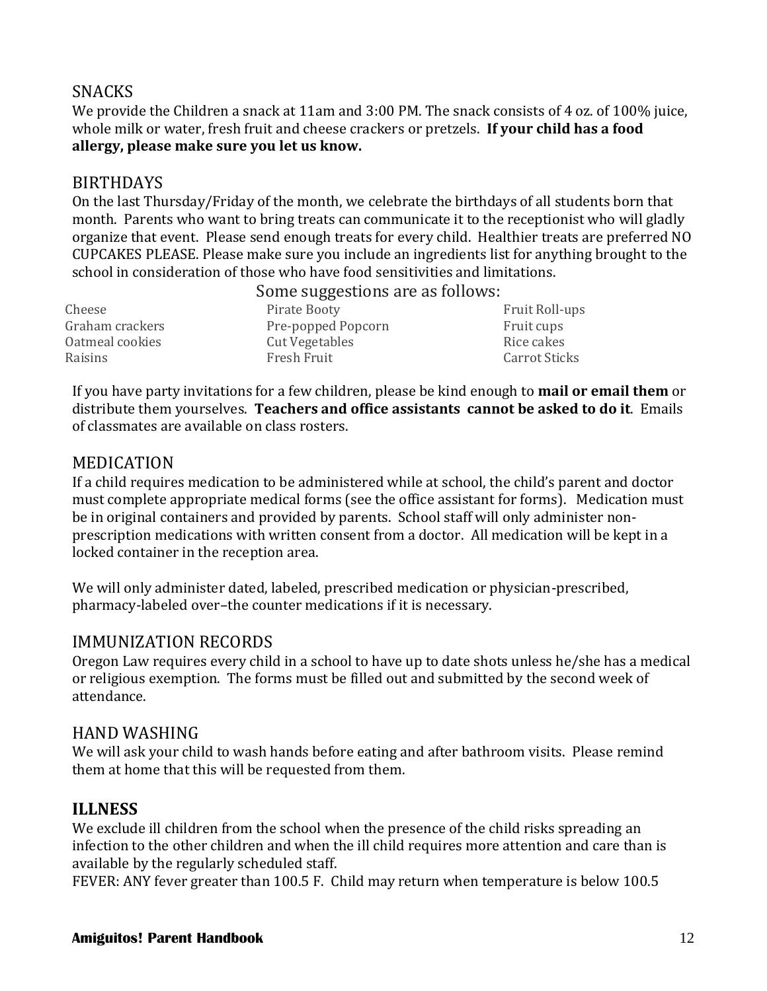# **SNACKS**

We provide the Children a snack at 11am and 3:00 PM. The snack consists of 4 oz. of 100% juice, whole milk or water, fresh fruit and cheese crackers or pretzels. **If your child has a food allergy, please make sure you let us know.**

#### BIRTHDAYS

On the last Thursday/Friday of the month, we celebrate the birthdays of all students born that month. Parents who want to bring treats can communicate it to the receptionist who will gladly organize that event. Please send enough treats for every child. Healthier treats are preferred NO CUPCAKES PLEASE. Please make sure you include an ingredients list for anything brought to the school in consideration of those who have food sensitivities and limitations.

Some suggestions are as follows:

Cheese Pirate Booty Professors Pruit Roll-ups Graham crackers **Pre-popped Popcorn** Fruit cups Oatmeal cookies Cut Vegetables Cut Vegetables Rice cakes Raisins Fresh Fruit Carrot Sticks

If you have party invitations for a few children, please be kind enough to **mail or email them** or distribute them yourselves. **Teachers and office assistants cannot be asked to do it**. Emails of classmates are available on class rosters.

# MEDICATION

If a child requires medication to be administered while at school, the child's parent and doctor must complete appropriate medical forms (see the office assistant for forms). Medication must be in original containers and provided by parents. School staff will only administer nonprescription medications with written consent from a doctor. All medication will be kept in a locked container in the reception area.

We will only administer dated, labeled, prescribed medication or physician-prescribed, pharmacy-labeled over–the counter medications if it is necessary.

#### IMMUNIZATION RECORDS

Oregon Law requires every child in a school to have up to date shots unless he/she has a medical or religious exemption. The forms must be filled out and submitted by the second week of attendance.

#### HAND WASHING

We will ask your child to wash hands before eating and after bathroom visits. Please remind them at home that this will be requested from them.

# **ILLNESS**

We exclude ill children from the school when the presence of the child risks spreading an infection to the other children and when the ill child requires more attention and care than is available by the regularly scheduled staff.

FEVER: ANY fever greater than 100.5 F. Child may return when temperature is below 100.5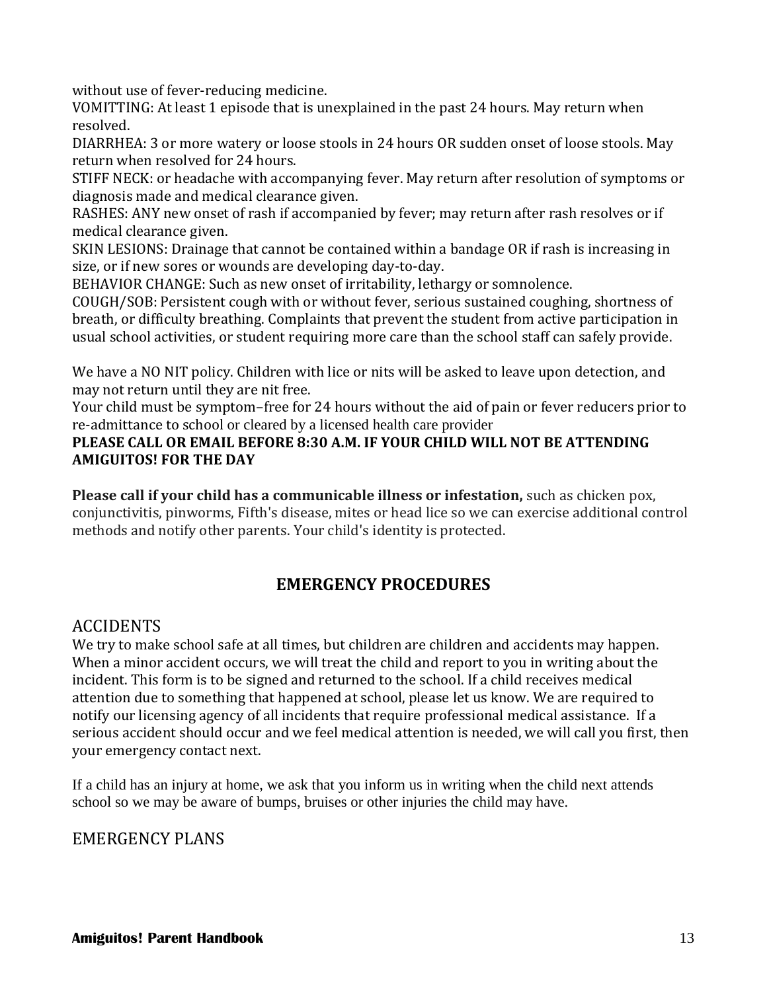without use of fever-reducing medicine.

VOMITTING: At least 1 episode that is unexplained in the past 24 hours. May return when resolved.

DIARRHEA: 3 or more watery or loose stools in 24 hours OR sudden onset of loose stools. May return when resolved for 24 hours.

STIFF NECK: or headache with accompanying fever. May return after resolution of symptoms or diagnosis made and medical clearance given.

RASHES: ANY new onset of rash if accompanied by fever; may return after rash resolves or if medical clearance given.

SKIN LESIONS: Drainage that cannot be contained within a bandage OR if rash is increasing in size, or if new sores or wounds are developing day-to-day.

BEHAVIOR CHANGE: Such as new onset of irritability, lethargy or somnolence.

COUGH/SOB: Persistent cough with or without fever, serious sustained coughing, shortness of breath, or difficulty breathing. Complaints that prevent the student from active participation in usual school activities, or student requiring more care than the school staff can safely provide.

We have a NO NIT policy. Children with lice or nits will be asked to leave upon detection, and may not return until they are nit free.

Your child must be symptom–free for 24 hours without the aid of pain or fever reducers prior to re-admittance to school or cleared by a licensed health care provider

#### **PLEASE CALL OR EMAIL BEFORE 8:30 A.M. IF YOUR CHILD WILL NOT BE ATTENDING AMIGUITOS! FOR THE DAY**

**Please call if your child has a communicable illness or infestation,** such as chicken pox, conjunctivitis, pinworms, Fifth's disease, mites or head lice so we can exercise additional control methods and notify other parents. Your child's identity is protected.

# **EMERGENCY PROCEDURES**

# ACCIDENTS

We try to make school safe at all times, but children are children and accidents may happen. When a minor accident occurs, we will treat the child and report to you in writing about the incident. This form is to be signed and returned to the school. If a child receives medical attention due to something that happened at school, please let us know. We are required to notify our licensing agency of all incidents that require professional medical assistance. If a serious accident should occur and we feel medical attention is needed, we will call you first, then your emergency contact next.

If a child has an injury at home, we ask that you inform us in writing when the child next attends school so we may be aware of bumps, bruises or other injuries the child may have.

# EMERGENCY PLANS